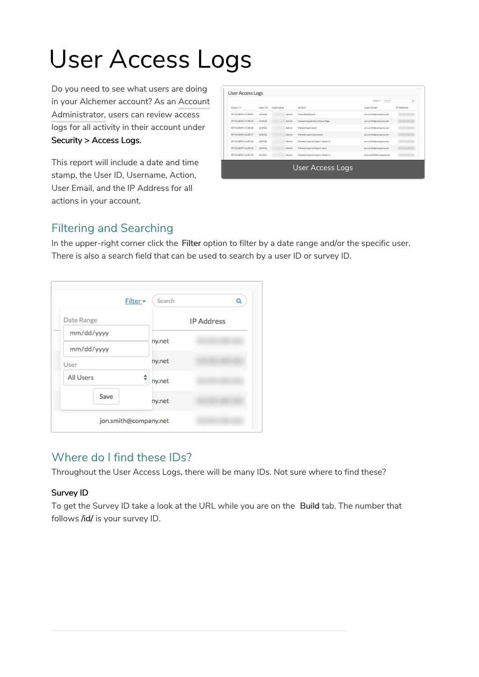# User Access Logs

Do you need to see what users are doing in your Alchemer account? As an Account Administrator, users can review access logs for all activity in their account under Security > Access Logs.

This report will include a date and time stamp, the User ID, Username, Action, User Email, and the IP Address for all actions in your account.

|                     |         |          |       |                                | Search<br>Filter +     | Q                 |
|---------------------|---------|----------|-------|--------------------------------|------------------------|-------------------|
| Date (ET)           | User ID | Username |       | Action                         | User Email             | <b>IP Address</b> |
| 07/15/2019 17:39:01 | 123456  |          | Admin | View Dashboard                 | jon.smith@company.net  |                   |
| 07/15/2019 17:38:59 | 123456  |          | Admin | Viewed Application Home Page   | jon.smith@company.net  |                   |
| 07/15/2019 17:38:58 | 123456  |          | Admin | Viewed login/auto              | jon.smith@company.net  |                   |
| 07/15/2019 16:39:17 | 123456  |          | Admin | Viewed reports/preview         | jon.smith@company.net  |                   |
| 07/15/2019 16:39:16 | 123456  |          | Admin | Viewed reports/report-check-in | jon.smith@company.net  |                   |
| 07/15/2019 16:39:15 | 123456  |          | Admin | Viewed reports/report-start    | jon.smith@company.net  |                   |
| 07/15/2019 16:39:15 | 654321  |          | Admin | Viewed reports/report-check-in | jane.smith@company.net |                   |
|                     |         |          |       | User Access Logs               |                        |                   |

### Filtering and Searching

In the upper-right corner click the Filter option to filter by a date range and/or the specific user. There is also a search field that can be used to search by a user ID or survey ID.

| Filter -         | Search | Q                 |
|------------------|--------|-------------------|
| Date Range       |        | <b>IP Address</b> |
| mm/dd/yyyy       | ny.net |                   |
| mm/dd/yyyy       |        |                   |
| User             | ny.net |                   |
| <b>All Users</b> | ny.net |                   |
| Save             | ny.net |                   |

## Where do I find these IDs?

Throughout the User Access Logs, there will be many IDs. Not sure where to find these?

#### Survey ID

To get the Survey ID take a look at the URL while you are on the Build tab. The number that follows /id/ is your survey ID.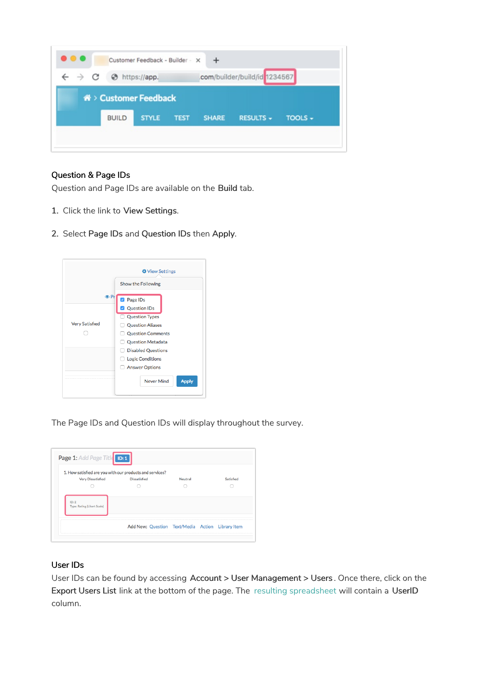| $\rightarrow$ C |  |              | https://app.                    |             | com/builder/build/id 1234567 |                  |                |
|-----------------|--|--------------|---------------------------------|-------------|------------------------------|------------------|----------------|
|                 |  |              |                                 |             |                              |                  |                |
|                 |  |              | <b>谷 &gt; Customer Feedback</b> |             |                              |                  |                |
|                 |  | <b>BUILD</b> | <b>STYLE</b>                    | <b>TEST</b> | <b>SHARE</b>                 | <b>RESULTS +</b> | <b>TOOLS -</b> |

#### Question & Page IDs

Question and Page IDs are available on the Build tab.

- 1. Click the link to View Settings.
- 2. Select Page IDs and Question IDs then Apply.



The Page IDs and Question IDs will display throughout the survey.

|                                      | 1. How satisfied are you with our products and services? |         |           |
|--------------------------------------|----------------------------------------------------------|---------|-----------|
| <b>Very Dissatisfied</b>             | <b>Dissatisfied</b>                                      | Neutral | Satisfied |
|                                      |                                                          |         |           |
| ID: 2<br>Type: Rating (Likert Scale) |                                                          |         |           |
|                                      |                                                          |         |           |

#### User IDs

User IDs can be found by accessing Account > User Management > Users. Once there, click on the Export Users List link at the bottom of the page. The resulting spreadsheet will contain a UserID column.